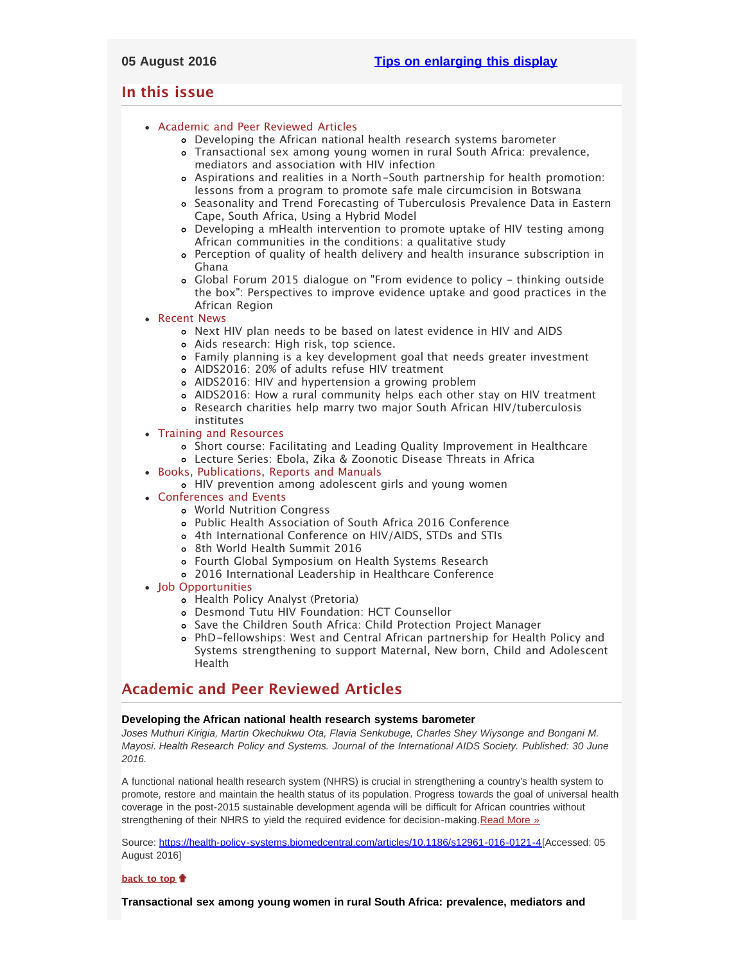# <span id="page-0-4"></span><span id="page-0-3"></span>**In this issue**

# [Academic and Peer Reviewed Articles](#page-0-0)

- [Developing the African national health research systems barometer](#page-0-1)
- [Transactional sex among young women in rural South Africa: prevalence,](#page-0-2) [mediators and association with HIV infection](#page-0-2)
- [Aspirations and realities in a North-South partnership for health promotion:](#page-1-0) [lessons from a program to promote safe male circumcision in Botswana](#page-1-0)
- [Seasonality and Trend Forecasting of Tuberculosis Prevalence Data in Eastern](#page-1-1) [Cape, South Africa, Using a Hybrid Model](#page-1-1)
- [Developing a mHealth intervention to promote uptake of HIV testing among](#page-1-2) [African communities in the conditions: a qualitative study](#page-1-2)
- [Perception of quality of health delivery and health insurance subscription in](#page-1-3) [Ghana](#page-1-3)
- [Global Forum 2015 dialogue on "From evidence to policy thinking outside](#page-1-4) [the box": Perspectives to improve evidence uptake and good practices in the](#page-1-4) [African Region](#page-1-4)
- [Recent News](#page-2-0)
	- [Next HIV plan needs to be based on latest evidence in HIV and AIDS](#page-2-1)
	- [Aids research: High risk, top science.](#page-2-2)
	- [Family planning is a key development goal that needs greater investment](#page-2-3)
	- [AIDS2016: 20% of adults refuse HIV treatment](#page-2-4)
	- [AIDS2016: HIV and hypertension a growing problem](#page-2-5)
	- [AIDS2016: How a rural community helps each other stay on HIV treatment](#page-2-6)
	- [Research charities help marry two major South African HIV/tuberculosis](#page-3-0) [institutes](#page-3-0)
- [Training and Resources](#page-4-0)
	- [Short course: Facilitating and Leading Quality Improvement in Healthcare](#page-3-1)
	- [Lecture Series: Ebola, Zika & Zoonotic Disease Threats in Africa](#page-3-2)
- [Books, Publications, Reports and Manuals](#page-3-3)
	- [HIV prevention among adolescent girls and young women](#page-3-4)
- [Conferences and Events](#page-3-5)
	- [World Nutrition Congress](#page-3-6)
	- [Public Health Association of South Africa 2016 Conference](#page-3-7)
	- [4th International Conference on HIV/AIDS, STDs and STIs](#page-3-8)
	- [8th World Health Summit 2016](#page-3-9)
	- [Fourth Global Symposium on Health Systems Research](#page-4-1)
	- [2016 International Leadership in Healthcare Conference](#page-4-2)
- [Job Opportunities](#page-0-3)
	- [Health Policy Analyst \(Pretoria\)](#page-4-3)
	- [Desmond Tutu HIV Foundation: HCT Counsellor](#page-4-4)
	- o [Save the Children South Africa: Child Protection Project Manager](#page-4-5)
	- [PhD-fellowships: West and Central African partnership for Health Policy and](#page-4-6) [Systems strengthening to support Maternal, New born, Child and Adolescent](#page-4-6) [Health](#page-4-6)

# <span id="page-0-0"></span>**Academic and Peer Reviewed Articles**

#### <span id="page-0-1"></span>**Developing the African national health research systems barometer**

*Joses Muthuri Kirigia, Martin Okechukwu Ota, Flavia Senkubuge, Charles Shey Wiysonge and Bongani M. Mayosi. Health Research Policy and Systems. Journal of the International AIDS Society. Published: 30 June 2016.*

A functional national health research system (NHRS) is crucial in strengthening a country's health system to promote, restore and maintain the health status of its population. Progress towards the goal of universal health coverage in the post-2015 sustainable development agenda will be difficult for African countries without strengthening of their NHRS to yield the required evidence for decision-making.[Read More »](https://health-policy-systems.biomedcentral.com/articles/10.1186/s12961-016-0121-4)

Source: [https://health-policy-systems.biomedcentral.com/articles/10.1186/s12961-016-0121-4\[](https://health-policy-systems.biomedcentral.com/articles/10.1186/s12961-016-0121-4)Accessed: 05 August 2016]

### **[back to top](#page-0-4)**

<span id="page-0-2"></span>**Transactional sex among young women in rural South Africa: prevalence, mediators and**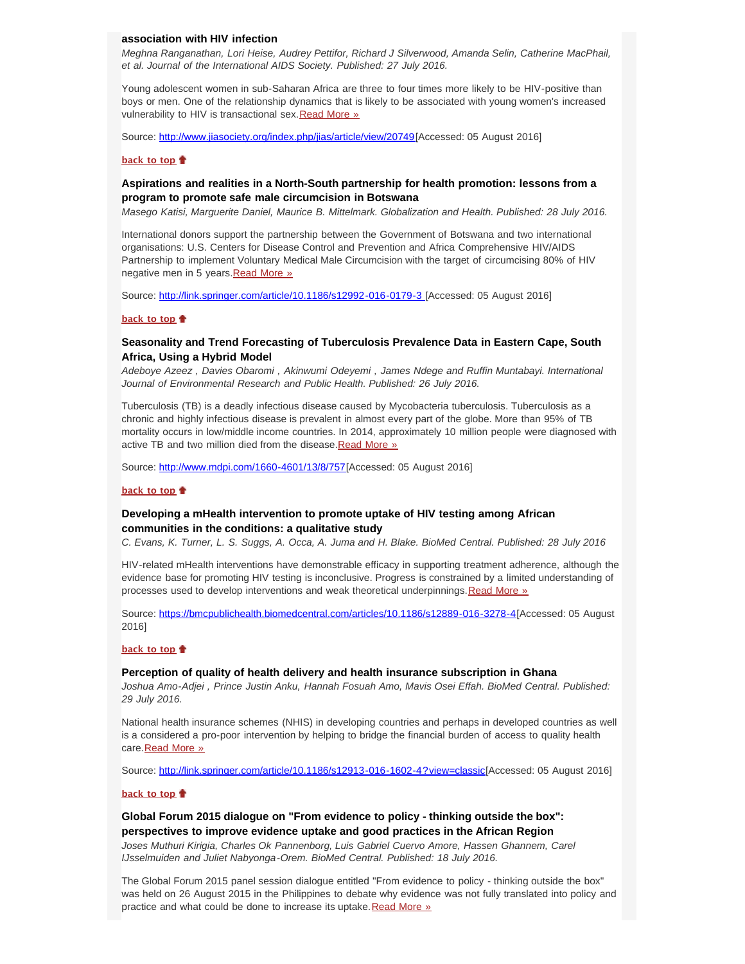#### **association with HIV infection**

*Meghna Ranganathan, Lori Heise, Audrey Pettifor, Richard J Silverwood, Amanda Selin, Catherine MacPhail, et al. Journal of the International AIDS Society. Published: 27 July 2016.*

Young adolescent women in sub-Saharan Africa are three to four times more likely to be HIV-positive than boys or men. One of the relationship dynamics that is likely to be associated with young women's increased vulnerability to HIV is transactional sex. [Read More »](http://www.jiasociety.org/index.php/jias/article/view/20749)

Source: [http://www.jiasociety.org/index.php/jias/article/view/20749\[](http://www.jiasociety.org/index.php/jias/article/view/20749)Accessed: 05 August 2016]

#### **[back to top](#page-0-4)**

# <span id="page-1-0"></span>**Aspirations and realities in a North-South partnership for health promotion: lessons from a program to promote safe male circumcision in Botswana**

*Masego Katisi, Marguerite Daniel, Maurice B. Mittelmark. Globalization and Health. Published: 28 July 2016.*

International donors support the partnership between the Government of Botswana and two international organisations: U.S. Centers for Disease Control and Prevention and Africa Comprehensive HIV/AIDS Partnership to implement Voluntary Medical Male Circumcision with the target of circumcising 80% of HIV negative men in 5 years. [Read More »](http://link.springer.com/article/10.1186/s12992-016-0179-3)

Source: [http://link.springer.com/article/10.1186/s12992-016-0179-3 \[](http://link.springer.com/article/10.1186/s12992-016-0179-3)Accessed: 05 August 2016]

#### **[back to top](#page-0-4)**

### <span id="page-1-1"></span>**Seasonality and Trend Forecasting of Tuberculosis Prevalence Data in Eastern Cape, South Africa, Using a Hybrid Model**

*Adeboye Azeez , Davies Obaromi , Akinwumi Odeyemi , James Ndege and Ruffin Muntabayi. International Journal of Environmental Research and Public Health. Published: 26 July 2016.*

Tuberculosis (TB) is a deadly infectious disease caused by Mycobacteria tuberculosis. Tuberculosis as a chronic and highly infectious disease is prevalent in almost every part of the globe. More than 95% of TB mortality occurs in low/middle income countries. In 2014, approximately 10 million people were diagnosed with active TB and two million died from the disease. [Read More »](http://www.mdpi.com/1660-4601/13/8/757)

Source: [http://www.mdpi.com/1660-4601/13/8/757\[](http://www.mdpi.com/1660-4601/13/8/757)Accessed: 05 August 2016]

#### **[back to top](#page-0-4)**

# <span id="page-1-2"></span>**Developing a mHealth intervention to promote uptake of HIV testing among African communities in the conditions: a qualitative study**

*C. Evans, K. Turner, L. S. Suggs, A. Occa, A. Juma and H. Blake. BioMed Central. Published: 28 July 2016*

HIV-related mHealth interventions have demonstrable efficacy in supporting treatment adherence, although the evidence base for promoting HIV testing is inconclusive. Progress is constrained by a limited understanding of processes used to develop interventions and weak theoretical underpinnings.[Read More »](https://bmcpublichealth.biomedcentral.com/articles/10.1186/s12889-016-3278-4)

Source: [https://bmcpublichealth.biomedcentral.com/articles/10.1186/s12889-016-3278-4\[](https://bmcpublichealth.biomedcentral.com/articles/10.1186/s12889-016-3278-4)Accessed: 05 August 2016]

#### **[back to top](#page-0-4)**

#### <span id="page-1-3"></span>**Perception of quality of health delivery and health insurance subscription in Ghana**

*Joshua Amo-Adjei , Prince Justin Anku, Hannah Fosuah Amo, Mavis Osei Effah. BioMed Central. Published: 29 July 2016.*

National health insurance schemes (NHIS) in developing countries and perhaps in developed countries as well is a considered a pro-poor intervention by helping to bridge the financial burden of access to quality health care. [Read More »](http://link.springer.com/article/10.1186/s12913-016-1602-4?view=classic)

Source: [http://link.springer.com/article/10.1186/s12913-016-1602-4?view=classic\[](http://link.springer.com/article/10.1186/s12913-016-1602-4?view=classic)Accessed: 05 August 2016]

#### **[back to top](#page-0-4)**

# <span id="page-1-4"></span>**Global Forum 2015 dialogue on "From evidence to policy - thinking outside the box": perspectives to improve evidence uptake and good practices in the African Region**

*Joses Muthuri Kirigia, Charles Ok Pannenborg, Luis Gabriel Cuervo Amore, Hassen Ghannem, Carel IJsselmuiden and Juliet Nabyonga-Orem. BioMed Central. Published: 18 July 2016.*

The Global Forum 2015 panel session dialogue entitled "From evidence to policy - thinking outside the box" was held on 26 August 2015 in the Philippines to debate why evidence was not fully translated into policy and practice and what could be done to increase its uptake. [Read More »](https://bmchealthservres.biomedcentral.com/articles/10.1186/s12913-016-1453-z)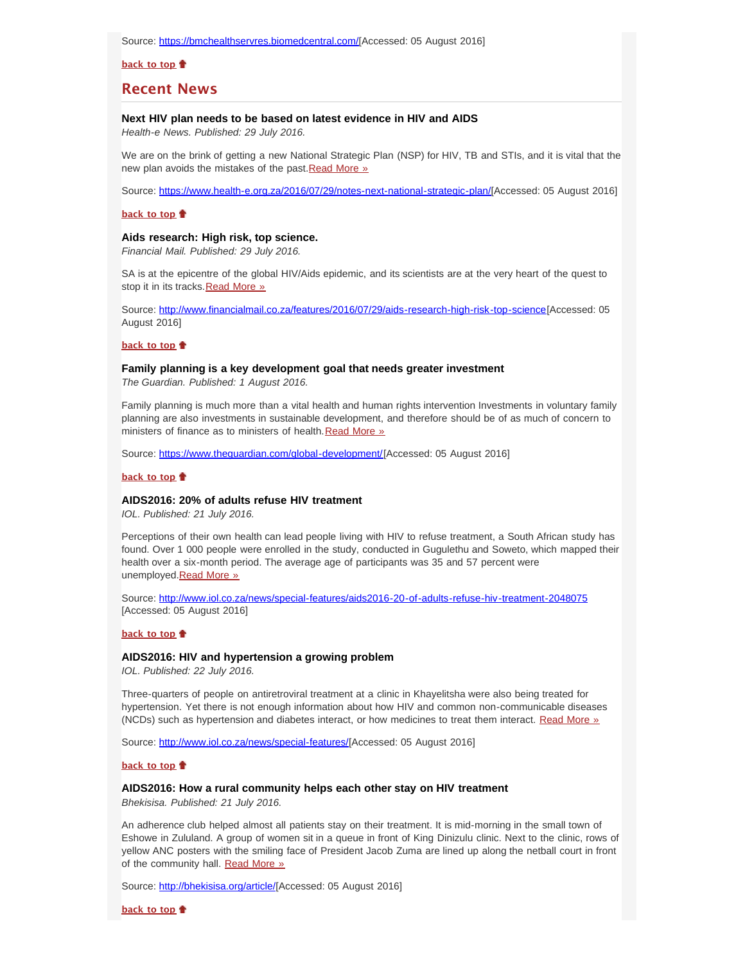**[back to top](#page-0-4)**

# <span id="page-2-0"></span>**Recent News**

### <span id="page-2-1"></span>**Next HIV plan needs to be based on latest evidence in HIV and AIDS**

*Health-e News. Published: 29 July 2016.*

We are on the brink of getting a new National Strategic Plan (NSP) for HIV, TB and STIs, and it is vital that the new plan avoids the mistakes of the past. [Read More »](http://www.hst.org.za/news/next-hiv-plan-needs-be-based-latest-evidence-marcus-low-july-29-2016-hiv-and-aids)

Source: [https://www.health-e.org.za/2016/07/29/notes-next-national-strategic-plan/\[](https://www.health-e.org.za/2016/07/29/notes-next-national-strategic-plan/)Accessed: 05 August 2016]

#### **[back to top](#page-0-4)**

#### <span id="page-2-2"></span>**Aids research: High risk, top science.**

*Financial Mail. Published: 29 July 2016.*

SA is at the epicentre of the global HIV/Aids epidemic, and its scientists are at the very heart of the quest to stop it in its tracks. [Read More »](http://www.hst.org.za/news/aids-research-high-risk-top-science)

Source: [http://www.financialmail.co.za/features/2016/07/29/aids-research-high-risk-top-science\[](http://www.financialmail.co.za/features/2016/07/29/aids-research-high-risk-top-science)Accessed: 05 August 2016]

#### **[back to top](#page-0-4)**

#### <span id="page-2-3"></span>**Family planning is a key development goal that needs greater investment**

*The Guardian. Published: 1 August 2016.*

Family planning is much more than a vital health and human rights intervention Investments in voluntary family planning are also investments in sustainable development, and therefore should be of as much of concern to ministers of finance as to ministers of health. [Read More »](http://www.hst.org.za/news/family-planning-key-development-goal-needs-greater-investment)

Source: [https://www.theguardian.com/global-development/\[](https://www.theguardian.com/global-development/2016/aug/01/family-planning-is-a-key-development-goal-that-needs-greater-investment)Accessed: 05 August 2016]

#### **[back to top](#page-0-4)**

#### <span id="page-2-4"></span>**AIDS2016: 20% of adults refuse HIV treatment**

*IOL. Published: 21 July 2016.*

Perceptions of their own health can lead people living with HIV to refuse treatment, a South African study has found. Over 1 000 people were enrolled in the study, conducted in Gugulethu and Soweto, which mapped their health over a six-month period. The average age of participants was 35 and 57 percent were unemployed[.Read More »](http://www.hst.org.za/news/aids2016-20-adults-refuse-hiv-treatment)

Source: <http://www.iol.co.za/news/special-features/aids2016-20-of-adults-refuse-hiv-treatment-2048075> [Accessed: 05 August 2016]

#### **[back to top](#page-0-4)**

#### <span id="page-2-5"></span>**AIDS2016: HIV and hypertension a growing problem**

*IOL. Published: 22 July 2016.*

Three-quarters of people on antiretroviral treatment at a clinic in Khayelitsha were also being treated for hypertension. Yet there is not enough information about how HIV and common non-communicable diseases (NCDs) such as hypertension and diabetes interact, or how medicines to treat them interact. [Read More »](http://www.hst.org.za/news/aids2016-hiv-and-hypertension-growing-problem)

Source: [http://www.iol.co.za/news/special-features/\[](http://www.iol.co.za/news/special-features/aids2016-hiv-and-hypertension-a-growing-problem-2048404)Accessed: 05 August 2016]

#### **[back to top](#page-0-4)**

#### <span id="page-2-6"></span>**AIDS2016: How a rural community helps each other stay on HIV treatment**

*Bhekisisa. Published: 21 July 2016.*

An adherence club helped almost all patients stay on their treatment. It is mid-morning in the small town of Eshowe in Zululand. A group of women sit in a queue in front of King Dinizulu clinic. Next to the clinic, rows of yellow ANC posters with the smiling face of President Jacob Zuma are lined up along the netball court in front of the community hall. [Read More »](http://www.hst.org.za/news/aids2016-how-rural-community-helps-each-other-stay-hiv-treatment)

Source: [http://bhekisisa.org/article/\[](http://bhekisisa.org/article/2016-07-21-hiv-support-and-adherence-clubs-make-living-and-thriving-with-hiv-easier)Accessed: 05 August 2016]

**[back to top](#page-0-4)**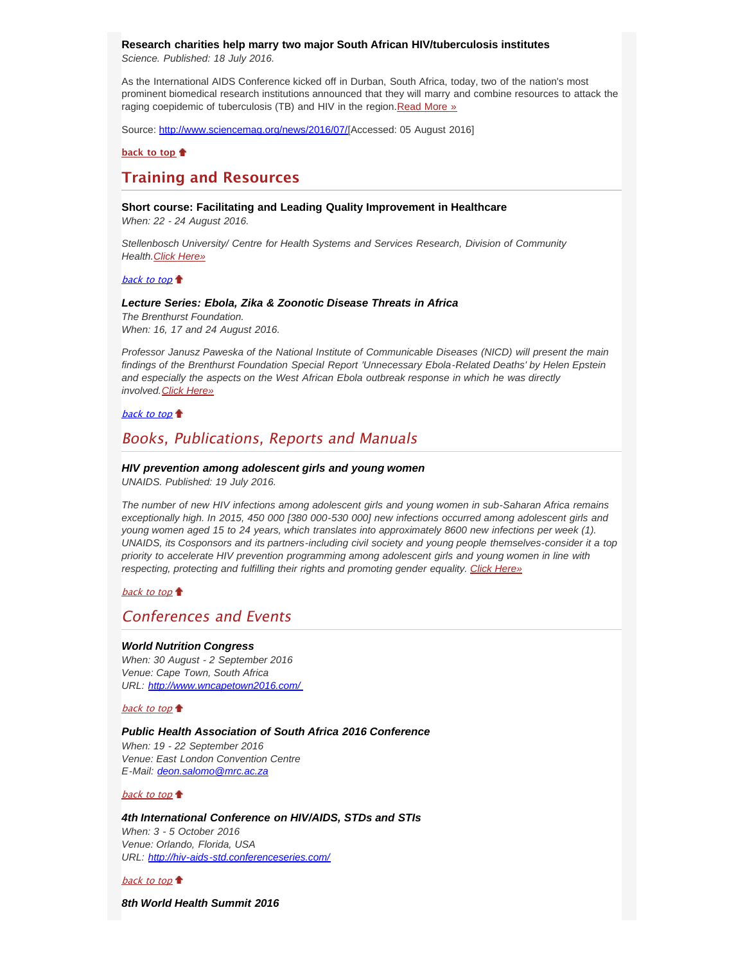### <span id="page-3-0"></span>**Research charities help marry two major South African HIV/tuberculosis institutes**

*Science. Published: 18 July 2016.*

As the International AIDS Conference kicked off in Durban, South Africa, today, two of the nation's most prominent biomedical research institutions announced that they will marry and combine resources to attack the raging coepidemic of tuberculosis (TB) and HIV in the region. [Read More »](http://www.hst.org.za/news/research-charities-help-marry-two-major-south-african-hivtuberculosis-institutes)

Source: [http://www.sciencemag.org/news/2016/07/](http://www.sciencemag.org/news/2016/07/research-charities-help-marry-two-major-south-african-hivtuberculosis-institutes)[Accessed: 05 August 2016]

#### **[back to top](#page-0-4)**

# **Training and Resources**

### <span id="page-3-1"></span>**Short course: Facilitating and Leading Quality Improvement in Healthcare**

*When: 22 - 24 August 2016.*

*Stellenbosch University/ Centre for Health Systems and Services Research, Division of Community Health[.Click Here»](http://www.hst.org.za/events/short-course-facilitating-leading-quality-improvement-healthcare-0)*

[back to top](#page-0-4)

### <span id="page-3-2"></span>*Lecture Series: Ebola, Zika & Zoonotic Disease Threats in Africa*

*The Brenthurst Foundation. When: 16, 17 and 24 August 2016.*

*Professor Janusz Paweska of the National Institute of Communicable Diseases (NICD) will present the main findings of the Brenthurst Foundation Special Report 'Unnecessary Ebola-Related Deaths' by Helen Epstein and especially the aspects on the West African Ebola outbreak response in which he was directly involved.[Click Here»](http://www.thebrenthurstfoundation.org/)*

[back to top](#page-0-4)

# <span id="page-3-3"></span>Books, Publications, Reports and Manuals

### <span id="page-3-4"></span>*HIV prevention among adolescent girls and young women*

*UNAIDS. Published: 19 July 2016.*

*The number of new HIV infections among adolescent girls and young women in sub-Saharan Africa remains exceptionally high. In 2015, 450 000 [380 000-530 000] new infections occurred among adolescent girls and young women aged 15 to 24 years, which translates into approximately 8600 new infections per week (1). UNAIDS, its Cosponsors and its partners-including civil society and young people themselves-consider it a top priority to accelerate HIV prevention programming among adolescent girls and young women in line with respecting, protecting and fulfilling their rights and promoting gender equality. [Click Here»](http://www.hst.org.za/publications/hiv-prevention-among-adolescent-girls-and-young-women)*

[back to top](#page-0-4)

# <span id="page-3-5"></span>Conferences and Events

#### <span id="page-3-6"></span>*World Nutrition Congress*

*When: 30 August - 2 September 2016 Venue: Cape Town, South Africa URL: <http://www.wncapetown2016.com/>*

[back to top](#page-0-4)

#### <span id="page-3-7"></span>*Public Health Association of South Africa 2016 Conference*

*When: 19 - 22 September 2016 Venue: East London Convention Centre E-Mail: [deon.salomo@mrc.ac.za](file:///Users/DTP/Desktop/deon.salomo@mrc.ac.za)*

[back to top](#page-0-4)

#### <span id="page-3-8"></span>*4th International Conference on HIV/AIDS, STDs and STIs*

*When: 3 - 5 October 2016 Venue: Orlando, Florida, USA URL: <http://hiv-aids-std.conferenceseries.com/>*

[back to top](#page-0-4)

<span id="page-3-9"></span>*8th World Health Summit 2016*